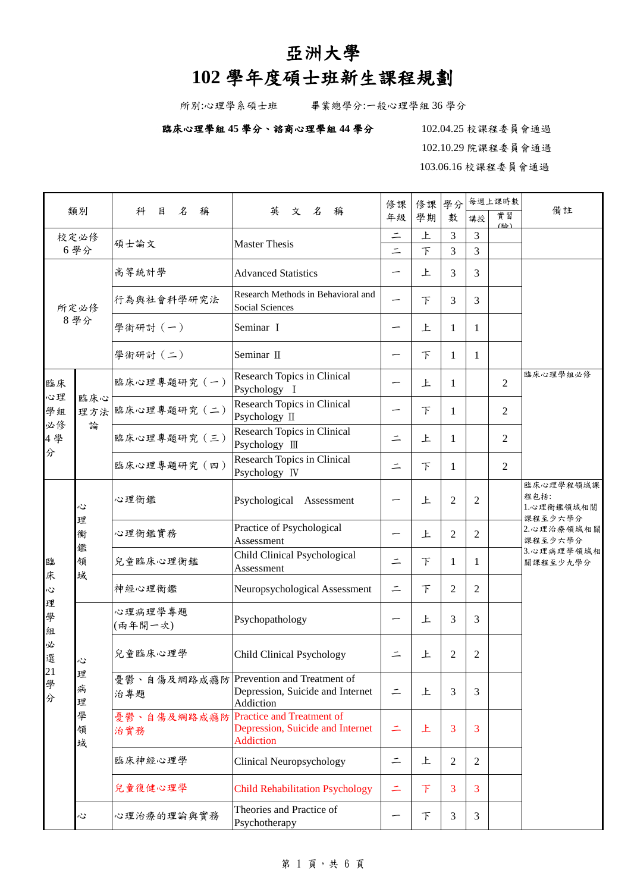## 亞洲大學

## **102** 學年度碩士班新生課程規劃

所別:心理學系碩士班 畢業總學分:一般心理學組 36 學分

## 臨床心理學組 **45** 學分、諮商心理學組 **44** 學分102.04.25 校課程委員會通過

102.10.29 院課程委員會通過 103.06.16 校課程委員會通過

| 類別          |                            |                                                                                                                |                                                                                          | 修課       | 修課     | 學分             |                | 每週上課時數    | 備註                                         |  |  |
|-------------|----------------------------|----------------------------------------------------------------------------------------------------------------|------------------------------------------------------------------------------------------|----------|--------|----------------|----------------|-----------|--------------------------------------------|--|--|
|             |                            | 名<br>稱<br>科<br>目                                                                                               | 英<br>文名<br>稱                                                                             | 年級       | 學期     | 數              | 講授             | 實習<br>(脸) |                                            |  |  |
| 校定必修        |                            | 碩士論文                                                                                                           | <b>Master Thesis</b>                                                                     | $\equiv$ | 上      | 3              | 3              |           |                                            |  |  |
|             | 6學分                        |                                                                                                                |                                                                                          | $\equiv$ | $\top$ | 3              | 3              |           |                                            |  |  |
|             |                            | 高等統計學                                                                                                          | <b>Advanced Statistics</b>                                                               |          | 上      | 3              | 3              |           |                                            |  |  |
|             | 所定必修                       | 行為與社會科學研究法                                                                                                     | Research Methods in Behavioral and<br>Social Sciences                                    |          | 下      | 3              | 3              |           |                                            |  |  |
|             | 8學分                        | 學術研討(一)                                                                                                        | Seminar I                                                                                |          | 上      | 1              | $\mathbf{1}$   |           |                                            |  |  |
|             |                            | 學術研討(二)                                                                                                        | Seminar II                                                                               |          | $\top$ | 1              | 1              |           |                                            |  |  |
| 臨床          |                            | 臨床心理專題研究 (一)                                                                                                   | Research Topics in Clinical<br>Psychology I                                              |          | 上      | $\mathbf{1}$   |                | 2         | 臨床心理學組必修                                   |  |  |
| 心理<br>學組    | 臨床心                        | 理方法 臨床心理專題研究 (二)                                                                                               | Research Topics in Clinical<br>Psychology II                                             |          | 下      | 1              |                | 2         |                                            |  |  |
| 必修<br>4學    | 論                          | 臨床心理專題研究 (三)                                                                                                   | Research Topics in Clinical<br>Psychology III                                            | ニ        | 上      | $\mathbf{1}$   |                | 2         |                                            |  |  |
| 分           |                            | 臨床心理專題研究 (四)                                                                                                   | Research Topics in Clinical<br>Psychology IV                                             | $\equiv$ | $\top$ | 1              |                | 2         |                                            |  |  |
|             | 心<br>理<br>衡<br>鑑<br>領<br>域 | 心理衡鑑                                                                                                           | Psychological<br>Assessment                                                              |          | 上      | 2              | 2              |           | 臨床心理學程領域課<br>程包括:<br>1.心理衡鑑領域相關<br>課程至少六學分 |  |  |
|             |                            | 心理衡鑑實務                                                                                                         | Practice of Psychological<br>Assessment                                                  |          | 上      | 2              | 2              |           | 2.心理治療領域相關<br>課程至少六學分                      |  |  |
| 臨<br>床      |                            | 兒童臨床心理衡鑑                                                                                                       | Child Clinical Psychological<br>Assessment                                               | $\equiv$ | $\top$ | 1              | 1              |           | 3.心理病理學領域相<br>關課程至少九學分                     |  |  |
| Š,          |                            | 神經心理衡鑑                                                                                                         | Neuropsychological Assessment                                                            | $\equiv$ | 下      | 2              | 2              |           |                                            |  |  |
| 理<br>學<br>組 |                            | 心理病理學專題<br>(兩年開一次)                                                                                             | Psychopathology                                                                          |          | 上      | 3              | 3              |           |                                            |  |  |
| 必<br>選      | 心                          | 兒童臨床心理學                                                                                                        | <b>Child Clinical Psychology</b>                                                         | ⋍        | 上      | $\overline{2}$ | $\overline{c}$ |           |                                            |  |  |
| 21 學分       | 理<br>病<br>理                | 治專題                                                                                                            | 憂鬱、自傷及網路成癮防 Prevention and Treatment of<br>Depression, Suicide and Internet<br>Addiction | $\equiv$ | 上      | 3              | 3              |           |                                            |  |  |
|             | 學<br>領<br>域                | <b>Practice and Treatment of</b><br>憂鬱、自傷及網路成癮防<br>Depression, Suicide and Internet<br>治實務<br><b>Addiction</b> |                                                                                          | Ξ        | 上      | 3              | 3              |           |                                            |  |  |
|             |                            | 臨床神經心理學                                                                                                        | Clinical Neuropsychology                                                                 | $\equiv$ | 上      | $\overline{2}$ | 2              |           |                                            |  |  |
|             |                            | 兒童復健心理學                                                                                                        | <b>Child Rehabilitation Psychology</b>                                                   | 二        | 下      | 3              | 3              |           |                                            |  |  |
|             | Č                          | 心理治療的理論與實務                                                                                                     | Theories and Practice of<br>Psychotherapy                                                |          | 下      | 3              | 3              |           |                                            |  |  |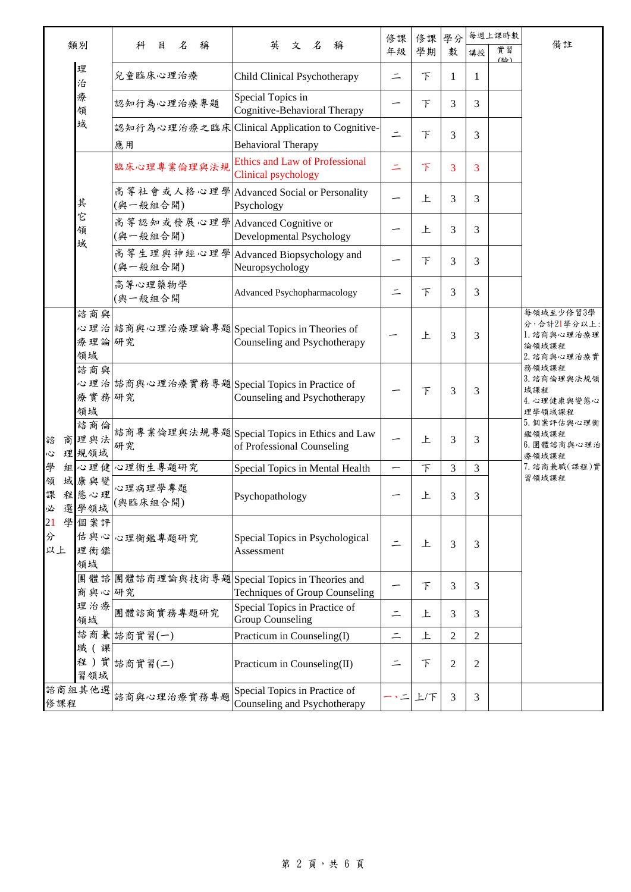|                    |                     |                                              |                                                                                | 修課                                                        | 修課     | 學分             | 每週上課時數         |           | 備註                                                              |
|--------------------|---------------------|----------------------------------------------|--------------------------------------------------------------------------------|-----------------------------------------------------------|--------|----------------|----------------|-----------|-----------------------------------------------------------------|
|                    | 類別                  | 名<br>稱<br>科<br>目                             | 英<br>文 名<br>稱                                                                  | 年級                                                        | 學期     | 數              | 講授             | 實習<br>(图) |                                                                 |
|                    | 理<br>治              | 兒童臨床心理治療                                     | Child Clinical Psychotherapy                                                   | $\equiv$                                                  | 下      | 1              | 1              |           |                                                                 |
|                    | 療<br>領              | 認知行為心理治療專題                                   | Special Topics in<br>Cognitive-Behavioral Therapy                              |                                                           | 下      | 3              | 3              |           |                                                                 |
|                    | 域                   | 應用                                           | 認知行為心理治療之臨床 Clinical Application to Cognitive-<br><b>Behavioral Therapy</b>    |                                                           | 下      | 3              | 3              |           |                                                                 |
|                    |                     | 臨床心理專業倫理與法規                                  | <b>Ethics and Law of Professional</b><br>Clinical psychology                   |                                                           | 下      | 3              | 3              |           |                                                                 |
|                    | 其                   | 高等社會或人格心理學<br>(與一般組合開)                       | <b>Advanced Social or Personality</b><br>Psychology                            |                                                           | 上      | 3              | 3              |           |                                                                 |
|                    | È<br>領<br>域         | 高等認知或發展心理學 Advanced Cognitive or<br>(與一般組合開) | Developmental Psychology                                                       |                                                           | 上      | 3              | 3              |           |                                                                 |
|                    |                     | (與一般組合開)                                     | 高等生理與神經心理學 Advanced Biopsychology and<br>Neuropsychology                       |                                                           | 下      | 3              | 3              |           |                                                                 |
|                    |                     | 高等心理藥物學<br>(與一般組合開                           | <b>Advanced Psychopharmacology</b>                                             |                                                           | 下      | 3              | 3              |           |                                                                 |
|                    | 諮商與<br>療理論研究<br>領域  |                                              | 心理治 諮商與心理治療理論專題 Special Topics in Theories of<br>Counseling and Psychotherapy  |                                                           | 上      | 3              | 3              |           | 每領域至少修習3學<br>分,合計21學分以上:<br>1. 諮商與心理治療理<br>論領域課程<br>2. 諮商與心理治療實 |
|                    | 諮商與<br>療實務研究<br>領域  |                                              | 心理治 諮商與心理治療實務專題 Special Topics in Practice of<br>Counseling and Psychotherapy  |                                                           | 下      | 3              | 3              |           | 務領域課程<br>3. 諮商倫理與法規領<br>域課程<br>4. 心理健康與變態心<br>理學領域課程            |
| 諮<br>商<br>Š,       | 諮商倫<br>理與法<br>理 規領域 | 研究                                           | 諮商專業倫理與法規專題Special Topics in Ethics and Law<br>of Professional Counseling      |                                                           | 上      | 3              | 3              |           | 5. 個案評估與心理衡<br>鑑領域課程<br>6. 團體諮商與心理治<br>療領域課程                    |
| 學                  |                     | 組心理健心理衛生專題研究                                 | Special Topics in Mental Health                                                |                                                           | $\top$ | 3              | 3              |           | 7. 諮商兼職(課程)實                                                    |
| 領<br>課<br>選<br>必   | 域康與變<br>程態心理<br>學領域 | 心理病理學專題<br>(與臨床組合開)                          | Psychopathology                                                                |                                                           | 上      | 3              | 3              |           | 習領域課程                                                           |
| 學<br>21<br>分<br>以上 | 個案評<br>理衡鑑<br>領域    | 估與心心理衡鑑專題研究                                  | Special Topics in Psychological<br>Assessment                                  |                                                           | 上      | 3              | 3              |           |                                                                 |
|                    | 商與心研究               |                                              | 團體諮團體諮商理論與技術專題Special Topics in Theories and<br>Techniques of Group Counseling |                                                           | $\top$ | 3              | 3              |           |                                                                 |
|                    | 理治療<br>領域           | 團體諮商實務專題研究                                   | Special Topics in Practice of<br><b>Group Counseling</b>                       | ⋍                                                         | 上      | 3              | 3              |           |                                                                 |
|                    |                     | 諮商兼 諮商實習(一)                                  | Practicum in Counseling(I)                                                     | $\equiv$                                                  | 上      | $\overline{2}$ | $\overline{2}$ |           |                                                                 |
|                    | 職 (課<br>習領域         | 程)實診商實習(二)                                   | Practicum in Counseling(II)                                                    |                                                           | 下      | $\overline{c}$ | 2              |           |                                                                 |
| 諮商組其他選<br>修課程      |                     | 諮商與心理治療實務專題                                  | Special Topics in Practice of<br>Counseling and Psychotherapy                  | $\stackrel{\scriptscriptstyle{>}}{\scriptscriptstyle{=}}$ | 上下     | 3              | 3              |           |                                                                 |

## 第 2 頁,共 6 頁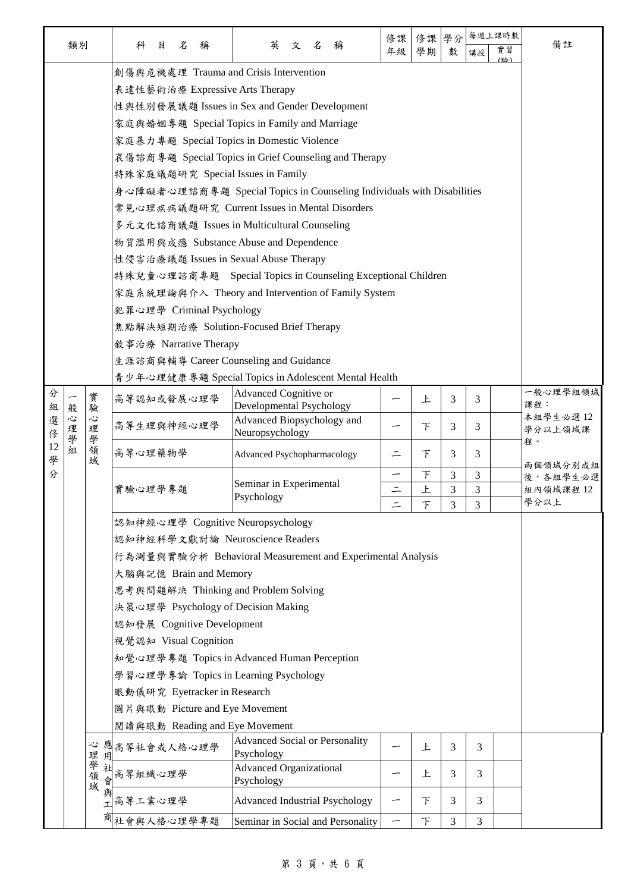|        |        |        |                                                      |                                                                        |                                                       |   |                              |                                                            |          |             |          | 修課       | 修課   | 學分                    |    | 每週上課時數 |                 |  |  |  |  |  |  |
|--------|--------|--------|------------------------------------------------------|------------------------------------------------------------------------|-------------------------------------------------------|---|------------------------------|------------------------------------------------------------|----------|-------------|----------|----------|------|-----------------------|----|--------|-----------------|--|--|--|--|--|--|
|        | 類別     |        |                                                      | 科                                                                      | 目                                                     | 名 | 稱                            | 英                                                          | 文名       |             | 稱        | 年級       | 學期   | 數                     | 講授 | 實習     | 備註              |  |  |  |  |  |  |
|        |        |        | (略)<br>創傷與危機處理 Trauma and Crisis Intervention        |                                                                        |                                                       |   |                              |                                                            |          |             |          |          |      |                       |    |        |                 |  |  |  |  |  |  |
|        |        |        | 表達性藝術治療 Expressive Arts Therapy                      |                                                                        |                                                       |   |                              |                                                            |          |             |          |          |      |                       |    |        |                 |  |  |  |  |  |  |
|        |        |        | 性與性別發展議題 Issues in Sex and Gender Development        |                                                                        |                                                       |   |                              |                                                            |          |             |          |          |      |                       |    |        |                 |  |  |  |  |  |  |
|        |        |        |                                                      |                                                                        |                                                       |   |                              | 家庭與婚姻專題 Special Topics in Family and Marriage              |          |             |          |          |      |                       |    |        |                 |  |  |  |  |  |  |
|        |        |        |                                                      | 家庭暴力專題 Special Topics in Domestic Violence                             |                                                       |   |                              |                                                            |          |             |          |          |      |                       |    |        |                 |  |  |  |  |  |  |
|        |        |        |                                                      |                                                                        | 哀傷諮商專題 Special Topics in Grief Counseling and Therapy |   |                              |                                                            |          |             |          |          |      |                       |    |        |                 |  |  |  |  |  |  |
|        |        |        |                                                      | 特殊家庭議題研究 Special Issues in Family                                      |                                                       |   |                              |                                                            |          |             |          |          |      |                       |    |        |                 |  |  |  |  |  |  |
|        |        |        |                                                      | 身心障礙者心理諮商專題 Special Topics in Counseling Individuals with Disabilities |                                                       |   |                              |                                                            |          |             |          |          |      |                       |    |        |                 |  |  |  |  |  |  |
|        |        |        |                                                      | 常見心理疾病議題研究 Current Issues in Mental Disorders                          |                                                       |   |                              |                                                            |          |             |          |          |      |                       |    |        |                 |  |  |  |  |  |  |
|        |        |        |                                                      | 多元文化諮商議題 Issues in Multicultural Counseling                            |                                                       |   |                              |                                                            |          |             |          |          |      |                       |    |        |                 |  |  |  |  |  |  |
|        |        |        |                                                      | 物質濫用與成瘾 Substance Abuse and Dependence                                 |                                                       |   |                              |                                                            |          |             |          |          |      |                       |    |        |                 |  |  |  |  |  |  |
|        |        |        |                                                      | 性侵害治療議題 Issues in Sexual Abuse Therapy                                 |                                                       |   |                              |                                                            |          |             |          |          |      |                       |    |        |                 |  |  |  |  |  |  |
|        |        |        |                                                      | 特殊兒童心理諮商專題 Special Topics in Counseling Exceptional Children           |                                                       |   |                              |                                                            |          |             |          |          |      |                       |    |        |                 |  |  |  |  |  |  |
|        |        |        |                                                      |                                                                        |                                                       |   |                              | 家庭系統理論與介入 Theory and Intervention of Family System         |          |             |          |          |      |                       |    |        |                 |  |  |  |  |  |  |
|        |        |        |                                                      |                                                                        |                                                       |   | 犯罪心理學 Criminal Psychology    |                                                            |          |             |          |          |      |                       |    |        |                 |  |  |  |  |  |  |
|        |        |        |                                                      |                                                                        |                                                       |   |                              | 焦點解決短期治療 Solution-Focused Brief Therapy                    |          |             |          |          |      |                       |    |        |                 |  |  |  |  |  |  |
|        |        |        |                                                      |                                                                        |                                                       |   | 敘事治療 Narrative Therapy       |                                                            |          |             |          |          |      |                       |    |        |                 |  |  |  |  |  |  |
|        |        |        |                                                      | 生涯諮商與輔導 Career Counseling and Guidance                                 |                                                       |   |                              |                                                            |          |             |          |          |      |                       |    |        |                 |  |  |  |  |  |  |
|        |        |        | 青少年心理健康專題 Special Topics in Adolescent Mental Health |                                                                        |                                                       |   |                              |                                                            |          |             |          |          |      |                       |    |        |                 |  |  |  |  |  |  |
| 分      |        | 實      |                                                      | 高等認知或發展心理學                                                             |                                                       |   |                              | Advanced Cognitive or                                      |          |             |          |          | 上    | 3                     | 3  |        | 一般心理學組領域<br>課程: |  |  |  |  |  |  |
| 組<br>選 | 般<br>心 | 驗<br>心 |                                                      |                                                                        |                                                       |   |                              | Developmental Psychology<br>Advanced Biopsychology and     |          |             |          |          |      |                       |    |        | 本組學生必選12        |  |  |  |  |  |  |
| 俢      | 理<br>學 | 理<br>學 |                                                      | 高等生理與神經心理學<br>Neuropsychology                                          |                                                       |   | 下                            | 3                                                          | 3        |             | 學分以上領域課  |          |      |                       |    |        |                 |  |  |  |  |  |  |
| 12     | 組      | 領域     |                                                      | 高等心理藥物學                                                                |                                                       |   |                              | Advanced Psychopharmacology                                |          |             |          | $\equiv$ | F    | 3                     | 3  |        | 程。              |  |  |  |  |  |  |
| 學<br>分 |        |        |                                                      |                                                                        |                                                       | - |                              |                                                            |          |             | 兩個領域分別成組 |          |      |                       |    |        |                 |  |  |  |  |  |  |
|        |        |        |                                                      | 實驗心理學專題                                                                |                                                       |   |                              | Seminar in Experimental                                    | $\equiv$ | $\top$<br>上 | 3<br>3   | 3<br>3   |      | 後,各組學生必選<br>組內領域課程 12 |    |        |                 |  |  |  |  |  |  |
|        |        |        |                                                      |                                                                        |                                                       |   | Psychology                   |                                                            | $\top$   | 3           | 3        |          | 學分以上 |                       |    |        |                 |  |  |  |  |  |  |
|        |        |        |                                                      |                                                                        |                                                       |   |                              |                                                            |          |             |          |          |      |                       |    |        |                 |  |  |  |  |  |  |
|        |        |        |                                                      | 認知神經心理學 Cognitive Neuropsychology<br>認知神經科學文獻討論 Neuroscience Readers   |                                                       |   |                              |                                                            |          |             |          |          |      |                       |    |        |                 |  |  |  |  |  |  |
|        |        |        |                                                      |                                                                        |                                                       |   |                              | 行為測量與實驗分析 Behavioral Measurement and Experimental Analysis |          |             |          |          |      |                       |    |        |                 |  |  |  |  |  |  |
|        |        |        |                                                      |                                                                        |                                                       |   | 大腦與記憶 Brain and Memory       |                                                            |          |             |          |          |      |                       |    |        |                 |  |  |  |  |  |  |
|        |        |        |                                                      | 思考與問題解決 Thinking and Problem Solving                                   |                                                       |   |                              |                                                            |          |             |          |          |      |                       |    |        |                 |  |  |  |  |  |  |
|        |        |        |                                                      |                                                                        |                                                       |   |                              | 決策心理學 Psychology of Decision Making                        |          |             |          |          |      |                       |    |        |                 |  |  |  |  |  |  |
|        |        |        |                                                      |                                                                        |                                                       |   | 認知發展 Cognitive Development   |                                                            |          |             |          |          |      |                       |    |        |                 |  |  |  |  |  |  |
|        |        |        |                                                      |                                                                        |                                                       |   | 視覺認知 Visual Cognition        |                                                            |          |             |          |          |      |                       |    |        |                 |  |  |  |  |  |  |
|        |        |        |                                                      |                                                                        |                                                       |   |                              | 知覺心理學專題 Topics in Advanced Human Perception                |          |             |          |          |      |                       |    |        |                 |  |  |  |  |  |  |
|        |        |        |                                                      |                                                                        |                                                       |   |                              | 學習心理學專論 Topics in Learning Psychology                      |          |             |          |          |      |                       |    |        |                 |  |  |  |  |  |  |
|        |        |        |                                                      |                                                                        |                                                       |   | 眼動儀研究 Eyetracker in Research |                                                            |          |             |          |          |      |                       |    |        |                 |  |  |  |  |  |  |
|        |        |        |                                                      |                                                                        |                                                       |   |                              | 圖片與眼動 Picture and Eye Movement                             |          |             |          |          |      |                       |    |        |                 |  |  |  |  |  |  |
|        |        |        |                                                      |                                                                        |                                                       |   |                              | 閲讀與眼動 Reading and Eye Movement                             |          |             |          |          |      |                       |    |        |                 |  |  |  |  |  |  |
|        |        |        |                                                      |                                                                        |                                                       |   |                              |                                                            |          |             |          |          |      |                       |    |        |                 |  |  |  |  |  |  |
|        |        | 心<br>理 | 用                                                    | 應高等社會或人格心理學                                                            |                                                       |   |                              | <b>Advanced Social or Personality</b><br>Psychology        |          |             |          | 上        | 3    | 3                     |    |        |                 |  |  |  |  |  |  |
|        |        | 學領     | 社                                                    | 高等組織心理學                                                                |                                                       |   |                              | <b>Advanced Organizational</b>                             |          |             |          |          | 上    | 3                     | 3  |        |                 |  |  |  |  |  |  |
|        |        | 域      |                                                      |                                                                        |                                                       |   |                              | Psychology                                                 |          |             |          |          |      |                       |    |        |                 |  |  |  |  |  |  |
|        |        |        |                                                      | 高等工業心理學                                                                |                                                       |   |                              | Advanced Industrial Psychology                             |          |             |          |          | 下    | 3                     | 3  |        |                 |  |  |  |  |  |  |
|        |        |        |                                                      | 社會與人格心理學專題                                                             |                                                       |   |                              | Seminar in Social and Personality                          |          |             |          |          | F    | 3                     | 3  |        |                 |  |  |  |  |  |  |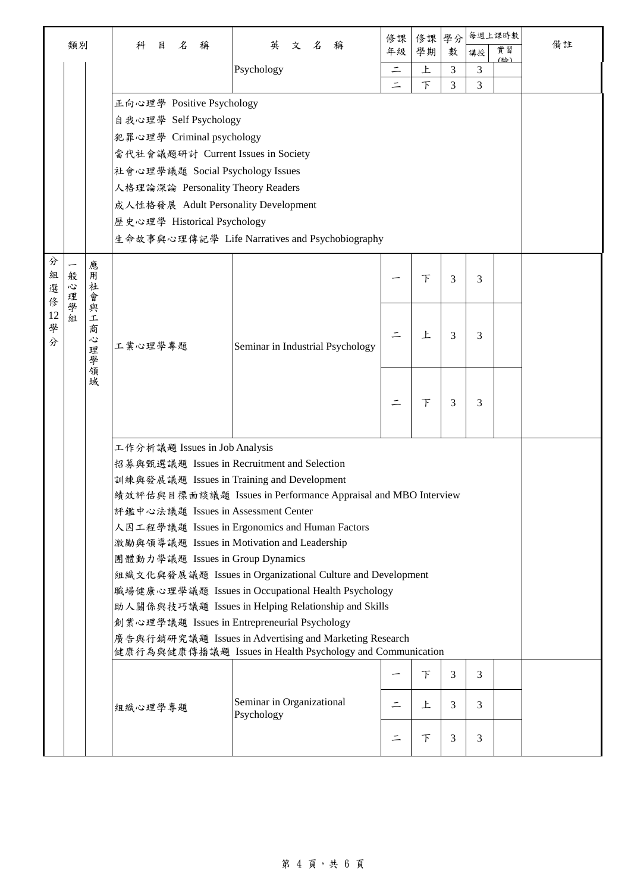|        | 類別                                                                                                                  |         | 目<br>名<br>稱<br>科                            | 英<br>文名<br>稱                                                  | 修課       | 修課     | 學分             | 每週上課時數         | 實習  | 備註 |  |  |  |
|--------|---------------------------------------------------------------------------------------------------------------------|---------|---------------------------------------------|---------------------------------------------------------------|----------|--------|----------------|----------------|-----|----|--|--|--|
|        |                                                                                                                     |         |                                             |                                                               | 年級       | 學期     | 數              | 講授             | (脸) |    |  |  |  |
|        |                                                                                                                     |         |                                             | Psychology                                                    | $\equiv$ | 上      | 3              | 3              |     |    |  |  |  |
|        |                                                                                                                     |         |                                             |                                                               | $\equiv$ | $\top$ | 3              | 3              |     |    |  |  |  |
|        |                                                                                                                     |         | 正向心理學 Positive Psychology                   |                                                               |          |        |                |                |     |    |  |  |  |
|        |                                                                                                                     |         | 自我心理學 Self Psychology                       |                                                               |          |        |                |                |     |    |  |  |  |
|        |                                                                                                                     |         | 犯罪心理學 Criminal psychology                   |                                                               |          |        |                |                |     |    |  |  |  |
|        |                                                                                                                     |         | 當代社會議題研討 Current Issues in Society          |                                                               |          |        |                |                |     |    |  |  |  |
|        |                                                                                                                     |         | 社會心理學議題 Social Psychology Issues            |                                                               |          |        |                |                |     |    |  |  |  |
|        |                                                                                                                     |         | 人格理論深論 Personality Theory Readers           |                                                               |          |        |                |                |     |    |  |  |  |
|        |                                                                                                                     |         | 成人性格發展 Adult Personality Development        |                                                               |          |        |                |                |     |    |  |  |  |
|        |                                                                                                                     |         | 歷史心理學 Historical Psychology                 |                                                               |          |        |                |                |     |    |  |  |  |
|        |                                                                                                                     |         |                                             | 生命故事與心理傳記學 Life Narratives and Psychobiography                |          |        |                |                |     |    |  |  |  |
| 分      |                                                                                                                     | 應       |                                             |                                                               |          |        |                |                |     |    |  |  |  |
| 組      | 般                                                                                                                   | 用       |                                             |                                                               |          | 下      | 3              | 3              |     |    |  |  |  |
| 選<br>俢 | 心<br>理                                                                                                              | 社<br>會  |                                             |                                                               |          |        |                |                |     |    |  |  |  |
|        | 一學組<br>12<br>學<br>分                                                                                                 | 與<br>工  |                                             |                                                               |          |        |                |                |     |    |  |  |  |
|        |                                                                                                                     | 商       |                                             | Seminar in Industrial Psychology                              |          | 上      | 3              | 3              |     |    |  |  |  |
|        |                                                                                                                     | Š,<br>理 | 工業心理學專題                                     |                                                               |          |        |                |                |     |    |  |  |  |
|        |                                                                                                                     |         |                                             |                                                               |          |        |                |                |     |    |  |  |  |
|        |                                                                                                                     | 一學領域    |                                             |                                                               |          |        |                |                |     |    |  |  |  |
|        |                                                                                                                     |         |                                             |                                                               |          |        |                |                |     |    |  |  |  |
|        |                                                                                                                     |         |                                             |                                                               |          | 下      | 3              | 3              |     |    |  |  |  |
|        |                                                                                                                     |         |                                             |                                                               |          |        |                |                |     |    |  |  |  |
|        |                                                                                                                     |         | 工作分析議題 Issues in Job Analysis               |                                                               |          |        |                |                |     |    |  |  |  |
|        |                                                                                                                     |         | 招募與甄選議題 Issues in Recruitment and Selection |                                                               |          |        |                |                |     |    |  |  |  |
|        |                                                                                                                     |         | 訓練與發展議題 Issues in Training and Development  |                                                               |          |        |                |                |     |    |  |  |  |
|        |                                                                                                                     |         |                                             | 績效評估與目標面談議題 Issues in Performance Appraisal and MBO Interview |          |        |                |                |     |    |  |  |  |
|        |                                                                                                                     |         | 評鑑中心法議題 Issues in Assessment Center         |                                                               |          |        |                |                |     |    |  |  |  |
|        |                                                                                                                     |         |                                             | 人因工程學議題 Issues in Ergonomics and Human Factors                |          |        |                |                |     |    |  |  |  |
|        |                                                                                                                     |         |                                             | 激勵與領導議題 Issues in Motivation and Leadership                   |          |        |                |                |     |    |  |  |  |
|        |                                                                                                                     |         | 團體動力學議題 Issues in Group Dynamics            |                                                               |          |        |                |                |     |    |  |  |  |
|        |                                                                                                                     |         |                                             | 組織文化與發展議題 Issues in Organizational Culture and Development    |          |        |                |                |     |    |  |  |  |
|        |                                                                                                                     |         |                                             | 職場健康心理學議題 Issues in Occupational Health Psychology            |          |        |                |                |     |    |  |  |  |
|        | 助人關係與技巧議題 Issues in Helping Relationship and Skills                                                                 |         |                                             |                                                               |          |        |                |                |     |    |  |  |  |
|        | 創業心理學議題 Issues in Entrepreneurial Psychology                                                                        |         |                                             |                                                               |          |        |                |                |     |    |  |  |  |
|        | 廣告與行銷研究議題 Issues in Advertising and Marketing Research<br>健康行為與健康傳播議題 Issues in Health Psychology and Communication |         |                                             |                                                               |          |        |                |                |     |    |  |  |  |
|        |                                                                                                                     |         |                                             |                                                               |          |        |                |                |     |    |  |  |  |
|        |                                                                                                                     |         |                                             |                                                               |          | F      | $\overline{3}$ | $\overline{3}$ |     |    |  |  |  |
|        |                                                                                                                     |         |                                             | Seminar in Organizational                                     | $\equiv$ | 上      | 3              | $\overline{3}$ |     |    |  |  |  |
|        |                                                                                                                     |         | 組織心理學專題                                     | Psychology                                                    |          |        |                |                |     |    |  |  |  |
|        |                                                                                                                     |         |                                             |                                                               |          | F      | 3              | 3              |     |    |  |  |  |
|        |                                                                                                                     |         |                                             |                                                               |          |        |                |                |     |    |  |  |  |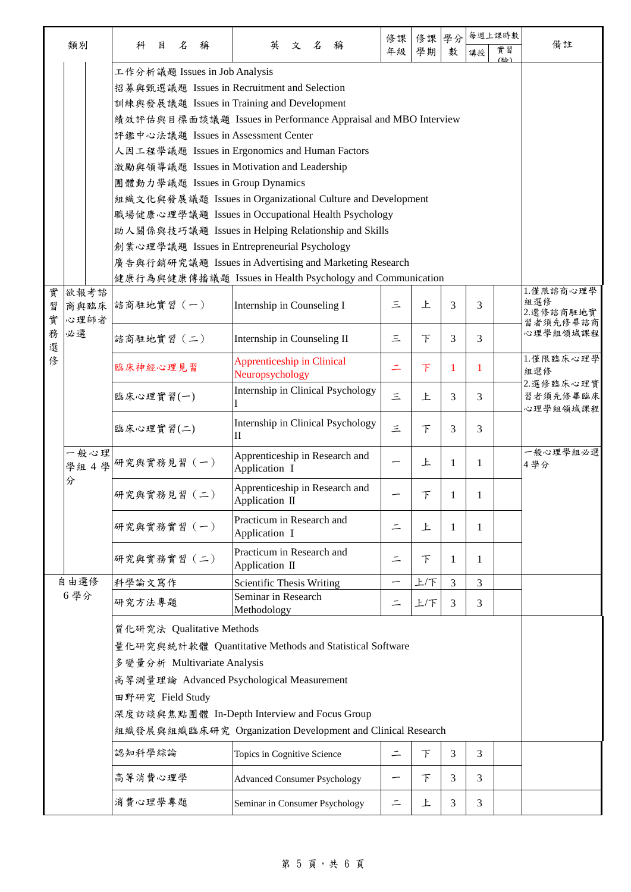|             | 類別                   | 科<br>目                                                                                                                                                                                                                                                                                                                                                                                                                                                                                                                                                                                                                                                                                                                    | 名<br>稱 | 英                                                                     | 文 | $\mathcal{Z}$ | 稱 | 修課<br>年級 | 修課<br>學期    | 學分<br>數             | 講授     | 每週上課時數<br>實習 | 備註                                        |
|-------------|----------------------|---------------------------------------------------------------------------------------------------------------------------------------------------------------------------------------------------------------------------------------------------------------------------------------------------------------------------------------------------------------------------------------------------------------------------------------------------------------------------------------------------------------------------------------------------------------------------------------------------------------------------------------------------------------------------------------------------------------------------|--------|-----------------------------------------------------------------------|---|---------------|---|----------|-------------|---------------------|--------|--------------|-------------------------------------------|
|             |                      | 工作分析議題 Issues in Job Analysis<br>招募與甄選議題 Issues in Recruitment and Selection<br>訓練與發展議題 Issues in Training and Development<br>績效評估與目標面談議題 Issues in Performance Appraisal and MBO Interview<br>評鑑中心法議題 Issues in Assessment Center<br>人因工程學議題 Issues in Ergonomics and Human Factors<br>激勵與領導議題 Issues in Motivation and Leadership<br>團體動力學議題 Issues in Group Dynamics<br>組織文化與發展議題 Issues in Organizational Culture and Development<br>職場健康心理學議題 Issues in Occupational Health Psychology<br>助人關係與技巧議題 Issues in Helping Relationship and Skills<br>創業心理學議題 Issues in Entrepreneurial Psychology<br>廣告與行銷研究議題 Issues in Advertising and Marketing Research<br>健康行為與健康傳播議題 Issues in Health Psychology and Communication |        |                                                                       |   |               |   |          |             |                     |        | [公]          |                                           |
| 實<br>習<br>實 | 欲報考諮<br>商與臨床<br>心理師者 | 諮商駐地實習 (一)                                                                                                                                                                                                                                                                                                                                                                                                                                                                                                                                                                                                                                                                                                                |        | Internship in Counseling I                                            |   |               |   | 三        | 上           | 3                   | 3      |              | 1.僅限諮商心理學<br>組選修<br>2.選修諮商駐地實<br>習者須先修畢諮商 |
| 務<br>選<br>俢 | 必選                   | 諮商駐地實習 (二)                                                                                                                                                                                                                                                                                                                                                                                                                                                                                                                                                                                                                                                                                                                |        | Internship in Counseling II<br><b>Apprenticeship in Clinical</b>      |   |               |   | 三        | 下           | 3                   | 3      |              | 心理學組領域課程<br>1.僅限臨床心理學                     |
|             |                      | 臨床神經心理見習<br>臨床心理實習(一)                                                                                                                                                                                                                                                                                                                                                                                                                                                                                                                                                                                                                                                                                                     |        | Neuropsychology<br>Internship in Clinical Psychology                  |   |               |   | Ξ<br>三   | $\top$<br>上 | 1<br>3              | 1<br>3 |              | 組選修<br>2.選修臨床心理實<br>習者須先修畢臨床              |
|             |                      | 臨床心理實習(二)                                                                                                                                                                                                                                                                                                                                                                                                                                                                                                                                                                                                                                                                                                                 |        | Internship in Clinical Psychology                                     |   |               |   | 三        | 下           | 3                   | 3      |              | 心理學組領域課程                                  |
|             | 一般心理                 | 學組 4 學 研究與實務見習 (一)                                                                                                                                                                                                                                                                                                                                                                                                                                                                                                                                                                                                                                                                                                        |        | $\mathbf{I}$<br>Apprenticeship in Research and<br>Application I       |   |               |   | —        | 上           | 1                   | 1      |              | 一般心理學組必選<br>4學分                           |
|             | 分                    | 研究與實務見習 (二)                                                                                                                                                                                                                                                                                                                                                                                                                                                                                                                                                                                                                                                                                                               |        | Apprenticeship in Research and<br>Application II                      |   |               |   |          | 下           | 1                   | 1      |              |                                           |
|             |                      | 研究與實務實習 (一)                                                                                                                                                                                                                                                                                                                                                                                                                                                                                                                                                                                                                                                                                                               |        | Practicum in Research and<br>Application I                            |   |               |   | ⋍        | 上           | 1                   | 1      |              |                                           |
|             |                      | 研究與實務實習 (二)                                                                                                                                                                                                                                                                                                                                                                                                                                                                                                                                                                                                                                                                                                               |        | Practicum in Research and<br>Application II                           |   |               |   | ⋍        | 下           | 1                   | 1      |              |                                           |
|             | 自由選修<br>6學分          | 科學論文寫作<br>研究方法專題                                                                                                                                                                                                                                                                                                                                                                                                                                                                                                                                                                                                                                                                                                          |        | Scientific Thesis Writing<br>Seminar in Research<br>Methodology       |   |               |   | ⋍        | 上/下<br>上下   | $\mathfrak{Z}$<br>3 | 3<br>3 |              |                                           |
|             |                      | 質化研究法 Qualitative Methods<br>量化研究與統計軟體 Quantitative Methods and Statistical Software<br>多變量分析 Multivariate Analysis<br>高等測量理論 Advanced Psychological Measurement<br>田野研究 Field Study<br>深度訪談與焦點團體 In-Depth Interview and Focus Group<br>組織發展與組織臨床研究 Organization Development and Clinical Research                                                                                                                                                                                                                                                                                                                                                                                                                        |        |                                                                       |   |               |   |          |             |                     |        |              |                                           |
|             |                      | 認知科學綜論                                                                                                                                                                                                                                                                                                                                                                                                                                                                                                                                                                                                                                                                                                                    |        | Topics in Cognitive Science                                           |   |               |   | 드        | 下           | 3                   | 3      |              |                                           |
|             |                      | 高等消費心理學<br>消費心理學專題                                                                                                                                                                                                                                                                                                                                                                                                                                                                                                                                                                                                                                                                                                        |        | <b>Advanced Consumer Psychology</b><br>Seminar in Consumer Psychology |   |               |   | —<br>드   | 下<br>上      | 3<br>3              | 3<br>3 |              |                                           |
|             |                      |                                                                                                                                                                                                                                                                                                                                                                                                                                                                                                                                                                                                                                                                                                                           |        |                                                                       |   |               |   |          |             |                     |        |              |                                           |